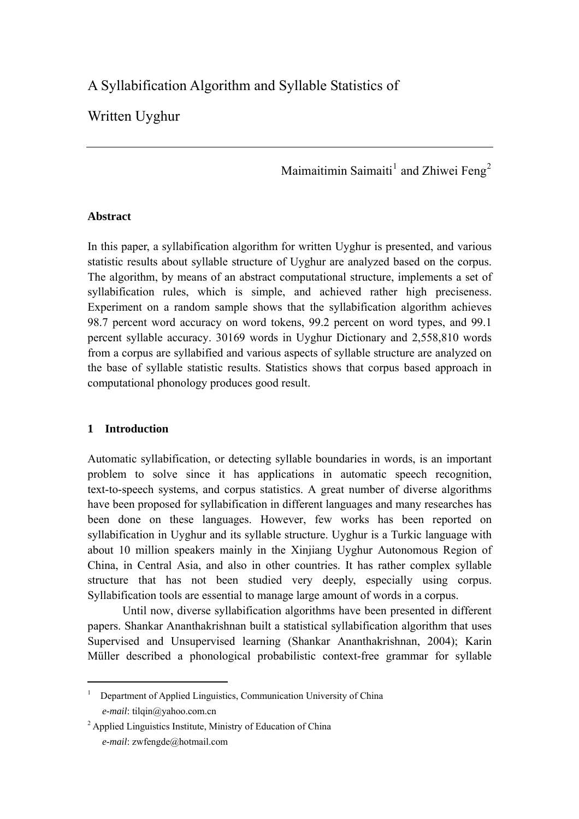# A Syllabification Algorithm and Syllable Statistics of

## Written Uyghur

Maimaitimin Saimaiti<sup>[1](#page-0-0)</sup> and Zhiwei Feng<sup>[2](#page-0-1)</sup>

## **Abstract**

In this paper, a syllabification algorithm for written Uyghur is presented, and various statistic results about syllable structure of Uyghur are analyzed based on the corpus. The algorithm, by means of an abstract computational structure, implements a set of syllabification rules, which is simple, and achieved rather high preciseness. Experiment on a random sample shows that the syllabification algorithm achieves 98.7 percent word accuracy on word tokens, 99.2 percent on word types, and 99.1 percent syllable accuracy. 30169 words in Uyghur Dictionary and 2,558,810 words from a corpus are syllabified and various aspects of syllable structure are analyzed on the base of syllable statistic results. Statistics shows that corpus based approach in computational phonology produces good result.

## **1 Introduction**

 $\overline{a}$ 

Automatic syllabification, or detecting syllable boundaries in words, is an important problem to solve since it has applications in automatic speech recognition, text-to-speech systems, and corpus statistics. A great number of diverse algorithms have been proposed for syllabification in different languages and many researches has been done on these languages. However, few works has been reported on syllabification in Uyghur and its syllable structure. Uyghur is a Turkic language with about 10 million speakers mainly in the Xinjiang Uyghur Autonomous Region of China, in Central Asia, and also in other countries. It has rather complex syllable structure that has not been studied very deeply, especially using corpus. Syllabification tools are essential to manage large amount of words in a corpus.

Until now, diverse syllabification algorithms have been presented in different papers. Shankar Ananthakrishnan built a statistical syllabification algorithm that uses Supervised and Unsupervised learning (Shankar Ananthakrishnan, 2004); Karin Müller described a phonological probabilistic context-free grammar for syllable

<span id="page-0-0"></span><sup>1</sup> Department of Applied Linguistics, Communication University of China  *e-mail*: tilqin@yahoo.com.cn

<span id="page-0-1"></span><sup>&</sup>lt;sup>2</sup> Applied Linguistics Institute, Ministry of Education of China  *e-mail*: zwfengde@hotmail.com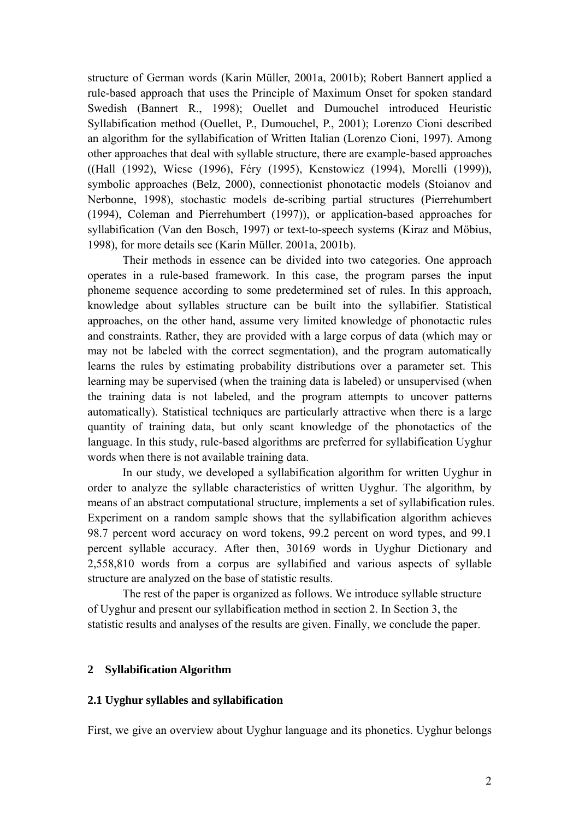structure of German words (Karin Müller, 2001a, 2001b); Robert Bannert applied a rule-based approach that uses the Principle of Maximum Onset for spoken standard Swedish (Bannert R., 1998); Ouellet and Dumouchel introduced Heuristic Syllabification method (Ouellet, P., Dumouchel, P., 2001); Lorenzo Cioni described an algorithm for the syllabification of Written Italian (Lorenzo Cioni, 1997). Among other approaches that deal with syllable structure, there are example-based approaches ((Hall (1992), Wiese (1996), Féry (1995), Kenstowicz (1994), Morelli (1999)), symbolic approaches (Belz, 2000), connectionist phonotactic models (Stoianov and Nerbonne, 1998), stochastic models de-scribing partial structures (Pierrehumbert (1994), Coleman and Pierrehumbert (1997)), or application-based approaches for syllabification (Van den Bosch, 1997) or text-to-speech systems (Kiraz and Möbius, 1998), for more details see (Karin Müller. 2001a, 2001b).

Their methods in essence can be divided into two categories. One approach operates in a rule-based framework. In this case, the program parses the input phoneme sequence according to some predetermined set of rules. In this approach, knowledge about syllables structure can be built into the syllabifier. Statistical approaches, on the other hand, assume very limited knowledge of phonotactic rules and constraints. Rather, they are provided with a large corpus of data (which may or may not be labeled with the correct segmentation), and the program automatically learns the rules by estimating probability distributions over a parameter set. This learning may be supervised (when the training data is labeled) or unsupervised (when the training data is not labeled, and the program attempts to uncover patterns automatically). Statistical techniques are particularly attractive when there is a large quantity of training data, but only scant knowledge of the phonotactics of the language. In this study, rule-based algorithms are preferred for syllabification Uyghur words when there is not available training data.

In our study, we developed a syllabification algorithm for written Uyghur in order to analyze the syllable characteristics of written Uyghur. The algorithm, by means of an abstract computational structure, implements a set of syllabification rules. Experiment on a random sample shows that the syllabification algorithm achieves 98.7 percent word accuracy on word tokens, 99.2 percent on word types, and 99.1 percent syllable accuracy. After then, 30169 words in Uyghur Dictionary and 2,558,810 words from a corpus are syllabified and various aspects of syllable structure are analyzed on the base of statistic results.

The rest of the paper is organized as follows. We introduce syllable structure of Uyghur and present our syllabification method in section 2. In Section 3, the statistic results and analyses of the results are given. Finally, we conclude the paper.

## **2 Syllabification Algorithm**

#### **2.1 Uyghur syllables and syllabification**

First, we give an overview about Uyghur language and its phonetics. Uyghur belongs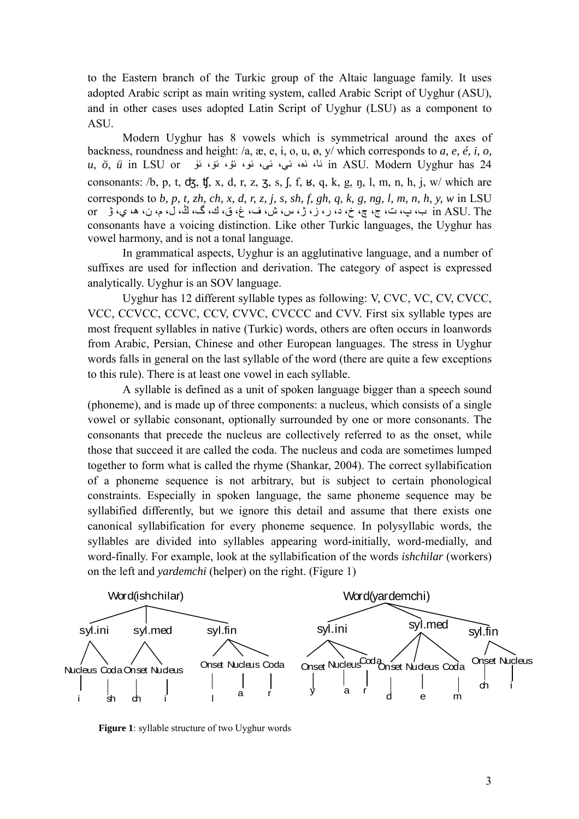to the Eastern branch of the Turkic group of the Altaic language family. It uses adopted Arabic script as main writing system, called Arabic Script of Uyghur (ASU), and in other cases uses adopted Latin Script of Uyghur (LSU) as a component to ASU.

Modern Uyghur has 8 vowels which is symmetrical around the axes of backness, roundness and height: /a, æ, e, i, o, u, ø, y/ which corresponds to *a, e, é, i, o, u, ö, ü* in LSU or ئۈ ،ئۆ ،ئۇ ،ئو ،ئى ،ئې ،ئە ،ئا in ASU. Modern Uyghur has 24 consonants:  $/b$ , p, t,  $ds$ ,  $t$ , x, d, r, z, z, s, f, f,  $s$ , q, k, g, n, l, m, n, h, j, w/ which are corresponds to *b, p, t, zh, ch, x, d, r, z, j, s, sh, f, gh, q, k, g, ng, l, m, n, h, y, w* in LSU The .ASU in ب، پ، ت، ج، چ، خ، د، ر، ز، ژ، س، ش، ف، غ، ق، ك، گ، ڭ، ل، م، ن، ه، ي، ۋ or consonants have a voicing distinction. Like other Turkic languages, the Uyghur has vowel harmony, and is not a [tonal language.](http://www.answers.com/topic/tonal-language)

In grammatical aspects, Uyghur is an agglutinative language, and a number of suffixes are used for inflection and derivation. The category of aspect is expressed analytically. Uyghur is an SOV language.

Uyghur has 12 different syllable types as following: V, CVC, VC, CV, CVCC, VCC, CCVCC, CCVC, CCV, CVVC, CVCCC and CVV. First six syllable types are most frequent syllables in native (Turkic) words, others are often occurs in loanwords from Arabic, Persian, Chinese and other European languages. The stress in Uyghur words falls in general on the last syllable of the word (there are quite a few exceptions to this rule). There is at least one vowel in each syllable.

A syllable is defined as a unit of spoken language bigger than a speech sound (phoneme), and is made up of three components: a nucleus, which consists of a single vowel or syllabic consonant, optionally surrounded by one or more consonants. The consonants that precede the nucleus are collectively referred to as the onset, while those that succeed it are called the coda. The nucleus and coda are sometimes lumped together to form what is called the rhyme (Shankar, 2004). The correct syllabification of a phoneme sequence is not arbitrary, but is subject to certain phonological constraints. Especially in spoken language, the same phoneme sequence may be syllabified differently, but we ignore this detail and assume that there exists one canonical syllabification for every phoneme sequence. In polysyllabic words, the syllables are divided into syllables appearing word-initially, word-medially, and word-finally. For example, look at the syllabification of the words *ishchilar* (workers) on the left and *yardemchi* (helper) on the right. (Figure 1)



**Figure 1**: syllable structure of two Uyghur words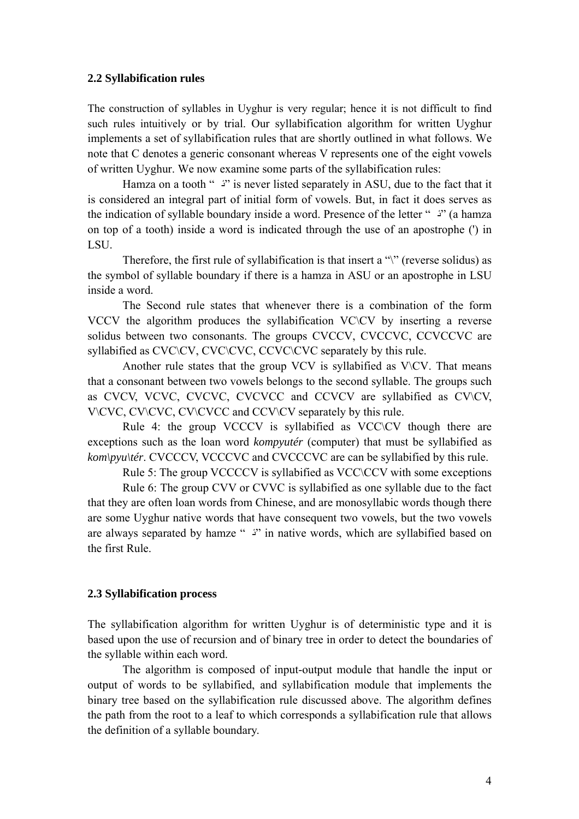#### **2.2 Syllabification rules**

The construction of syllables in Uyghur is very regular; hence it is not difficult to find such rules intuitively or by trial. Our syllabification algorithm for written Uyghur implements a set of syllabification rules that are shortly outlined in what follows. We note that C denotes a generic consonant whereas V represents one of the eight vowels of written Uyghur. We now examine some parts of the syllabification rules:

Hamza on a tooth " <sup>2</sup>" is never listed separately in ASU, due to the fact that it is considered an integral part of initial form of vowels. But, in fact it does serves as the indication of syllable boundary inside a word. Presence of the letter " $\ddot{\text{ }}$ " (a hamza on top of a tooth) inside a word is indicated through the use of an apostrophe (') in LSU.

Therefore, the first rule of syllabification is that insert a "\" (reverse solidus) as the symbol of syllable boundary if there is a hamza in ASU or an apostrophe in LSU inside a word.

The Second rule states that whenever there is a combination of the form VCCV the algorithm produces the syllabification VC\CV by inserting a reverse solidus between two consonants. The groups CVCCV, CVCCVC, CCVCCVC are syllabified as CVC\CV, CVC\CVC, CCVC\CVC separately by this rule.

Another rule states that the group VCV is syllabified as  $V\setminus CV$ . That means that a consonant between two vowels belongs to the second syllable. The groups such as CVCV, VCVC, CVCVC, CVCVCC and CCVCV are syllabified as CV\CV, V\CVC, CV\CVC, CV\CVCC and CCV\CV separately by this rule.

Rule 4: the group VCCCV is syllabified as VCC\CV though there are exceptions such as the loan word *kompyutér* (computer) that must be syllabified as *kom\pyu\tér.* CVCCCV, VCCCVC and CVCCCVC are can be syllabified by this rule.

Rule 5: The group VCCCCV is syllabified as VCC CCV with some exceptions

Rule 6: The group CVV or CVVC is syllabified as one syllable due to the fact that they are often loan words from Chinese, and are monosyllabic words though there are some Uyghur native words that have consequent two vowels, but the two vowels are always separated by hamze "  $\frac{3}{2}$ " in native words, which are syllabified based on the first Rule.

#### **2.3 Syllabification process**

The syllabification algorithm for written Uyghur is of deterministic type and it is based upon the use of recursion and of binary tree in order to detect the boundaries of the syllable within each word.

The algorithm is composed of input-output module that handle the input or output of words to be syllabified, and syllabification module that implements the binary tree based on the syllabification rule discussed above. The algorithm defines the path from the root to a leaf to which corresponds a syllabification rule that allows the definition of a syllable boundary.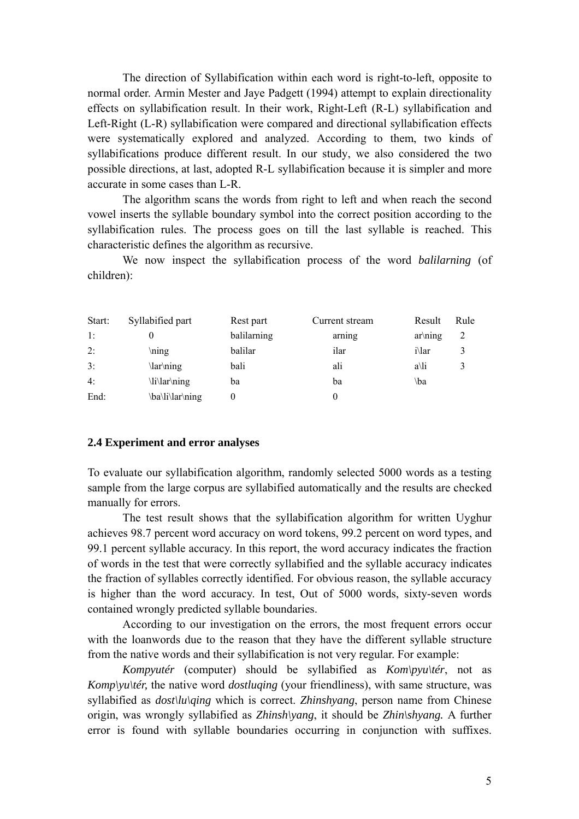The direction of Syllabification within each word is right-to-left, opposite to normal order. Armin Mester and Jaye Padgett (1994) attempt to explain directionality effects on syllabification result. In their work, Right-Left (R-L) syllabification and Left-Right (L-R) syllabification were compared and directional syllabification effects were systematically explored and analyzed. According to them, two kinds of syllabifications produce different result. In our study, we also considered the two possible directions, at last, adopted R-L syllabification because it is simpler and more accurate in some cases than L-R.

The algorithm scans the words from right to left and when reach the second vowel inserts the syllable boundary symbol into the correct position according to the syllabification rules. The process goes on till the last syllable is reached. This characteristic defines the algorithm as recursive.

We now inspect the syllabification process of the word *balilarning* (of children):

| Start: | Syllabified part | Rest part   | Current stream | Result        | Rule |
|--------|------------------|-------------|----------------|---------------|------|
| 1:     |                  | balilarning | arning         | $ar\ning$     | 2    |
| 2:     | ning             | balilar     | ilar           | <i>i</i> \lar | 3    |
| 3:     | \lar\ning        | bali        | ali            | a\li          |      |
| 4:     | \li\lar\ning     | ba          | ba             | \ba           |      |
| End:   | \ba\li\lar\ning  | 0           |                |               |      |

#### **2.4 Experiment and error analyses**

To evaluate our syllabification algorithm, randomly selected 5000 words as a testing sample from the large corpus are syllabified automatically and the results are checked manually for errors.

The test result shows that the syllabification algorithm for written Uyghur achieves 98.7 percent word accuracy on word tokens, 99.2 percent on word types, and 99.1 percent syllable accuracy. In this report, the word accuracy indicates the fraction of words in the test that were correctly syllabified and the syllable accuracy indicates the fraction of syllables correctly identified. For obvious reason, the syllable accuracy is higher than the word accuracy. In test, Out of 5000 words, sixty-seven words contained wrongly predicted syllable boundaries.

According to our investigation on the errors, the most frequent errors occur with the loanwords due to the reason that they have the different syllable structure from the native words and their syllabification is not very regular. For example:

*Kompyutér* (computer) should be syllabified as *Kom\pyu\tér*, not as *Komp\yu\tér,* the native word *dostluging* (your friendliness), with same structure, was syllabified as *dost\lu\qing* which is correct. *Zhinshyang*, person name from Chinese origin, was wrongly syllabified as *Zhinsh\yang*, it should be *Zhin\shyang.* A further error is found with syllable boundaries occurring in conjunction with suffixes.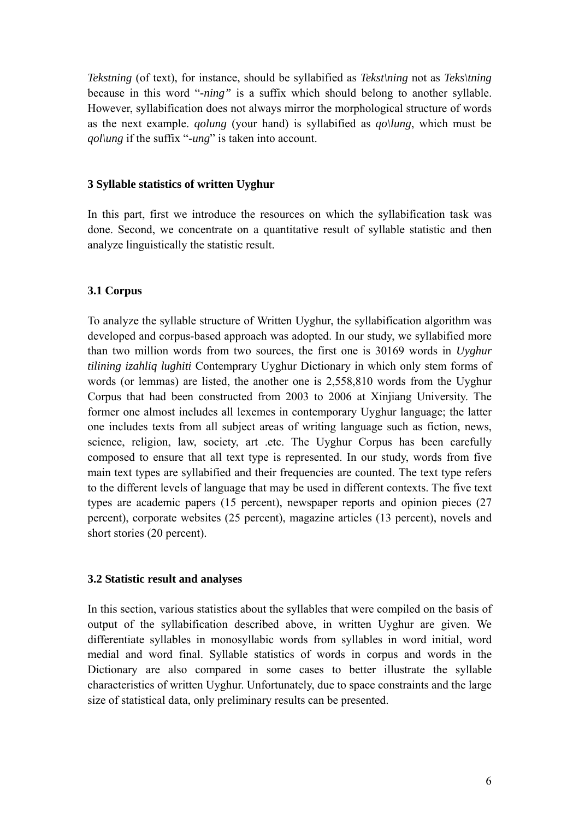*Tekstning* (of text), for instance, should be syllabified as *Tekst\ning* not as *Teks\tning*  because in this word "*-ning"* is a suffix which should belong to another syllable. However, syllabification does not always mirror the morphological structure of words as the next example. *qolung* (your hand) is syllabified as *qo\lung*, which must be *qol\ung* if the suffix "*-ung*" is taken into account.

#### **3 Syllable statistics of written Uyghur**

In this part, first we introduce the resources on which the syllabification task was done. Second, we concentrate on a quantitative result of syllable statistic and then analyze linguistically the statistic result.

## **3.1 Corpus**

To analyze the syllable structure of Written Uyghur, the syllabification algorithm was developed and corpus-based approach was adopted. In our study, we syllabified more than two million words from two sources, the first one is 30169 words in *Uyghur tilining izahliq lughiti* Contemprary Uyghur Dictionary in which only stem forms of words (or lemmas) are listed, the another one is 2,558,810 words from the Uyghur Corpus that had been constructed from 2003 to 2006 at Xinjiang University. The former one almost includes all lexemes in contemporary Uyghur language; the latter one includes texts from all subject areas of writing language such as fiction, news, science, religion, law, society, art .etc. The Uyghur Corpus has been carefully composed to ensure that all text type is represented. In our study, words from five main text types are syllabified and their frequencies are counted. The text type refers to the different levels of language that may be used in different contexts. The five text types are academic papers (15 percent), newspaper reports and opinion pieces (27 percent), corporate websites (25 percent), magazine articles (13 percent), novels and short stories (20 percent).

## **3.2 Statistic result and analyses**

In this section, various statistics about the syllables that were compiled on the basis of output of the syllabification described above, in written Uyghur are given. We differentiate syllables in monosyllabic words from syllables in word initial, word medial and word final. Syllable statistics of words in corpus and words in the Dictionary are also compared in some cases to better illustrate the syllable characteristics of written Uyghur. Unfortunately, due to space constraints and the large size of statistical data, only preliminary results can be presented.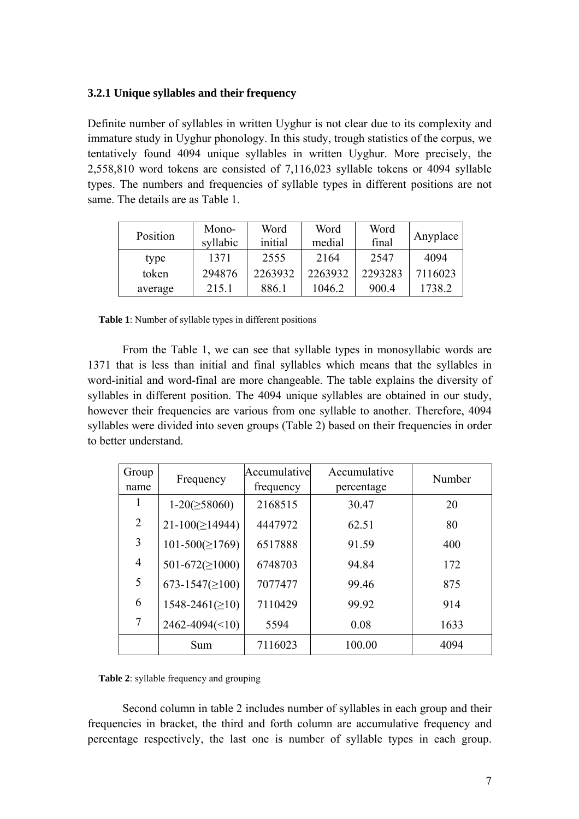#### **3.2.1 Unique syllables and their frequency**

Definite number of syllables in written Uyghur is not clear due to its complexity and immature study in Uyghur phonology. In this study, trough statistics of the corpus, we tentatively found 4094 unique syllables in written Uyghur. More precisely, the 2,558,810 word tokens are consisted of 7,116,023 syllable tokens or 4094 syllable types. The numbers and frequencies of syllable types in different positions are not same. The details are as Table 1.

| Position | Mono-<br>syllabic | Word<br>initial | Word<br>medial | Word<br>final | Anyplace |
|----------|-------------------|-----------------|----------------|---------------|----------|
| type     | 1371              | 2555            | 2164           | 2547          | 4094     |
| token    | 294876            | 2263932         | 2263932        | 2293283       | 7116023  |
| average  | 215.1             | 886.1           | 1046.2         | 900.4         | 1738.2   |

|  | Table 1: Number of syllable types in different positions |  |
|--|----------------------------------------------------------|--|
|--|----------------------------------------------------------|--|

From the Table 1, we can see that syllable types in monosyllabic words are 1371 that is less than initial and final syllables which means that the syllables in word-initial and word-final are more changeable. The table explains the diversity of syllables in different position. The 4094 unique syllables are obtained in our study, however their frequencies are various from one syllable to another. Therefore, 4094 syllables were divided into seven groups (Table 2) based on their frequencies in order to better understand.

| Group          | Frequency               | Accumulative | Accumulative | Number |  |
|----------------|-------------------------|--------------|--------------|--------|--|
| name           |                         | frequency    | percentage   |        |  |
| 1              | $1-20(\geq 58060)$      | 2168515      | 30.47        | 20     |  |
| 2              | $21-100( \geq 14944)$   | 4447972      | 62.51        | 80     |  |
| 3              | $101-500(\geq 1769)$    | 6517888      | 91.59        | 400    |  |
| $\overline{4}$ | 501-672( $\geq$ 1000)   | 6748703      | 94.84        | 172    |  |
| 5              | 673-1547( $\geq$ 100)   | 7077477      | 99.46        | 875    |  |
| 6              | $1548 - 2461 \ge 10$    | 7110429      | 99.92        | 914    |  |
| 7              | $2462 - 4094 \times 10$ | 5594         | 0.08         | 1633   |  |
|                | Sum                     | 7116023      | 100.00       | 4094   |  |

**Table 2**: syllable frequency and grouping

Second column in table 2 includes number of syllables in each group and their frequencies in bracket, the third and forth column are accumulative frequency and percentage respectively, the last one is number of syllable types in each group.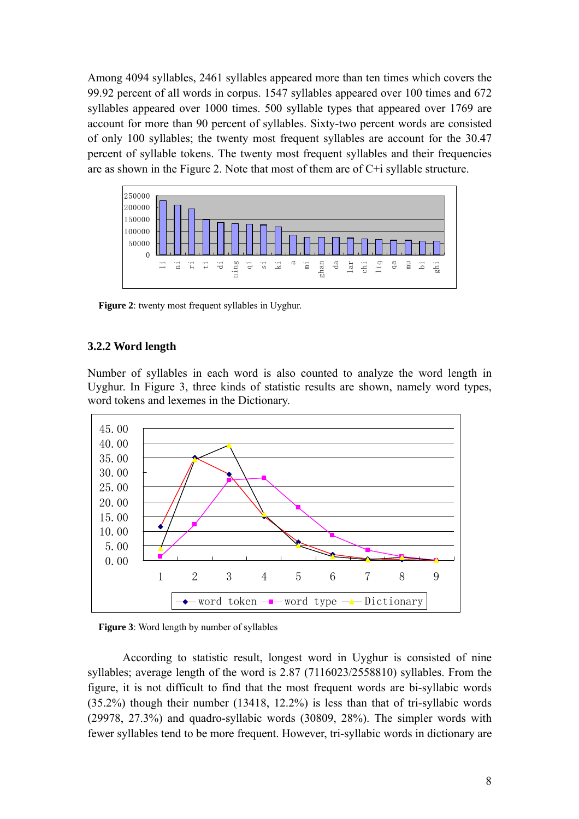Among 4094 syllables, 2461 syllables appeared more than ten times which covers the 99.92 percent of all words in corpus. 1547 syllables appeared over 100 times and 672 syllables appeared over 1000 times. 500 syllable types that appeared over 1769 are account for more than 90 percent of syllables. Sixty-two percent words are consisted of only 100 syllables; the twenty most frequent syllables are account for the 30.47 percent of syllable tokens. The twenty most frequent syllables and their frequencies are as shown in the Figure 2. Note that most of them are of C+i syllable structure.



**Figure 2**: twenty most frequent syllables in Uyghur.

## **3.2.2 Word length**

Number of syllables in each word is also counted to analyze the word length in Uyghur. In Figure 3, three kinds of statistic results are shown, namely word types, word tokens and lexemes in the Dictionary.



**Figure 3**: Word length by number of syllables

According to statistic result, longest word in Uyghur is consisted of nine syllables; average length of the word is 2.87 (7116023/2558810) syllables. From the figure, it is not difficult to find that the most frequent words are bi-syllabic words (35.2%) though their number (13418, 12.2%) is less than that of tri-syllabic words (29978, 27.3%) and quadro-syllabic words (30809, 28%). The simpler words with fewer syllables tend to be more frequent. However, tri-syllabic words in dictionary are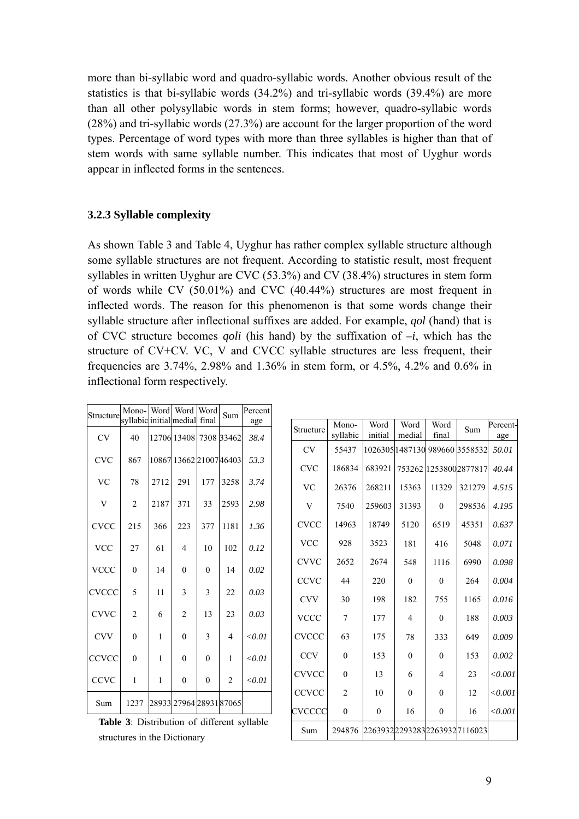more than bi-syllabic word and quadro-syllabic words. Another obvious result of the statistics is that bi-syllabic words (34.2%) and tri-syllabic words (39.4%) are more than all other polysyllabic words in stem forms; however, quadro-syllabic words (28%) and tri-syllabic words (27.3%) are account for the larger proportion of the word types. Percentage of word types with more than three syllables is higher than that of stem words with same syllable number. This indicates that most of Uyghur words appear in inflected forms in the sentences.

### **3.2.3 Syllable complexity**

As shown Table 3 and Table 4, Uyghur has rather complex syllable structure although some syllable structures are not frequent. According to statistic result, most frequent syllables in written Uyghur are CVC (53.3%) and CV (38.4%) structures in stem form of words while CV (50.01%) and CVC (40.44%) structures are most frequent in inflected words. The reason for this phenomenon is that some words change their syllable structure after inflectional suffixes are added. For example, *qol* (hand) that is of CVC structure becomes *qoli* (his hand) by the suffixation of *–i*, which has the structure of CV+CV. VC, V and CVCC syllable structures are less frequent, their frequencies are 3.74%, 2.98% and 1.36% in stem form, or 4.5%, 4.2% and 0.6% in inflectional form respectively.

| Structure               | Mono-                   |      | Word Word Word          |          | Sum            | Percent       |
|-------------------------|-------------------------|------|-------------------------|----------|----------------|---------------|
|                         | syllabic initial medial |      |                         | final    |                | age           |
| <b>CV</b>               | 40                      |      | 12706 13408             |          | 7308 33462     | 38.4          |
| <b>CVC</b>              | 867                     |      | 10867 13662 21007 46403 |          |                | 53.3          |
| <b>VC</b>               | 78                      | 2712 | 291                     | 177      | 3258           | 3.74          |
| $\overline{\mathsf{V}}$ | $\overline{2}$          | 2187 | 371                     | 33       | 2593           | 2.98          |
| <b>CVCC</b>             | 215                     | 366  | 223                     | 377      | 1181           | 1.36          |
| <b>VCC</b>              | 27                      | 61   | 4                       | 10       | 102            | 0.12          |
| <b>VCCC</b>             | $\theta$                | 14   | $\theta$                | $\theta$ | 14             | 0.02          |
| CVCCC                   | 5                       | 11   | 3                       | 3        | 22             | 0.03          |
| <b>CVVC</b>             | $\overline{2}$          | 6    | $\overline{2}$          | 13       | 23             | 0.03          |
| <b>CVV</b>              | $\theta$                | 1    | $\theta$                | 3        | 4              | < 0.01        |
| CCVCC                   | $\Omega$                | 1    | $\theta$                | $\theta$ | 1              | ${<}0.01$     |
| CCVC                    | 1                       | 1    | $\overline{0}$          | $\theta$ | $\overline{2}$ | $<$ 0.01 $\,$ |
| Sum                     | 1237                    |      | 28933 27964 28931 87065 |          |                |               |

**Table 3**: Distribution of different syllable structures in the Dictionary

| Structure    | Mono-          | Word                         | Word           | Word           | Sum                            | Percent- |
|--------------|----------------|------------------------------|----------------|----------------|--------------------------------|----------|
|              | syllabic       | initial                      | medial         | final          |                                | age      |
| <b>CV</b>    | 55437          |                              |                |                | 1026305 1487130 989660 3558532 | 50.01    |
| <b>CVC</b>   | 186834         | 683921                       |                |                | 753262 1253800 2877817         | 40.44    |
| <b>VC</b>    | 26376          | 268211                       | 15363          | 11329          | 321279                         | 4.515    |
| V            | 7540           | 259603                       | 31393          | $\theta$       | 298536                         | 4.195    |
| <b>CVCC</b>  | 14963          | 18749                        | 5120           | 6519           | 45351                          | 0.637    |
| <b>VCC</b>   | 928            | 3523                         | 181            | 416            | 5048                           | 0.071    |
| <b>CVVC</b>  | 2652           | 2674                         | 548            | 1116           | 6990                           | 0.098    |
| <b>CCVC</b>  | 44             | 220                          | $\mathbf{0}$   | $\mathbf{0}$   | 264                            | 0.004    |
| <b>CVV</b>   | 30             | 198                          | 182            | 755            | 1165                           | 0.016    |
| <b>VCCC</b>  | 7              | 177                          | $\overline{4}$ | $\theta$       | 188                            | 0.003    |
| <b>CVCCC</b> | 63             | 175                          | 78             | 333            | 649                            | 0.009    |
| <b>CCV</b>   | $\theta$       | 153                          | $\theta$       | $\theta$       | 153                            | 0.002    |
| <b>CVVCC</b> | $\theta$       | 13                           | 6              | $\overline{4}$ | 23                             | < 0.001  |
| <b>CCVCC</b> | $\overline{c}$ | 10                           | $\theta$       | $\theta$       | 12                             | < 0.001  |
| CVCCCC       | $\overline{0}$ | $\boldsymbol{0}$             | 16             | $\theta$       | 16                             | < 0.001  |
| Sum          | 294876         | 2263932229328322639327116023 |                |                |                                |          |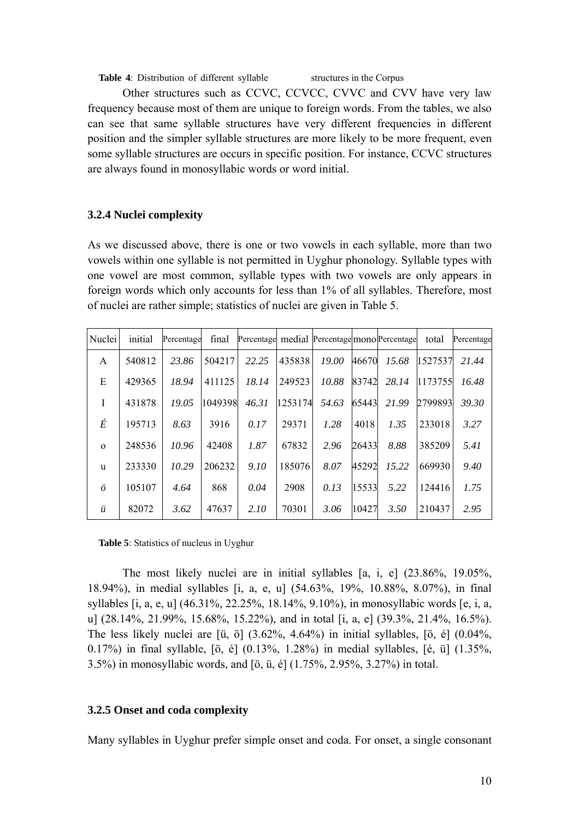**Table 4**: Distribution of different syllable structures in the Corpus

Other structures such as CCVC, CCVCC, CVVC and CVV have very law frequency because most of them are unique to foreign words. From the tables, we also can see that same syllable structures have very different frequencies in different position and the simpler syllable structures are more likely to be more frequent, even some syllable structures are occurs in specific position. For instance, CCVC structures are always found in monosyllabic words or word initial.

## **3.2.4 Nuclei complexity**

As we discussed above, there is one or two vowels in each syllable, more than two vowels within one syllable is not permitted in Uyghur phonology. Syllable types with one vowel are most common, syllable types with two vowels are only appears in foreign words which only accounts for less than 1% of all syllables. Therefore, most of nuclei are rather simple; statistics of nuclei are given in Table 5.

| Nuclei       | initial | Percentage | final   | Percentage medial Percentage mono Percentage |         |       |       |       | total   | Percentage |
|--------------|---------|------------|---------|----------------------------------------------|---------|-------|-------|-------|---------|------------|
| A            | 540812  | 23.86      | 504217  | 22.25                                        | 435838  | 19.00 | 46670 | 15.68 | 1527537 | 21.44      |
| E            | 429365  | 18.94      | 411125  | 18.14                                        | 249523  | 10.88 | 83742 | 28.14 | 1173755 | 16.48      |
| I            | 431878  | 19.05      | 1049398 | 46.31                                        | 1253174 | 54.63 | 65443 | 21.99 | 2799893 | 39.30      |
| É            | 195713  | 8.63       | 3916    | 0.17                                         | 29371   | 1.28  | 4018  | 1.35  | 233018  | 3.27       |
| $\mathbf{O}$ | 248536  | 10.96      | 42408   | 1.87                                         | 67832   | 2.96  | 26433 | 8.88  | 385209  | 5.41       |
| u            | 233330  | 10.29      | 206232  | 9.10                                         | 185076  | 8.07  | 45292 | 15.22 | 669930  | 9.40       |
| $\ddot{o}$   | 105107  | 4.64       | 868     | 0.04                                         | 2908    | 0.13  | 15533 | 5.22  | 124416  | 1.75       |
| ü            | 82072   | 3.62       | 47637   | 2.10                                         | 70301   | 3.06  | 10427 | 3.50  | 210437  | 2.95       |

**Table 5**: Statistics of nucleus in Uyghur

The most likely nuclei are in initial syllables [a, i, e] (23.86%, 19.05%, 18.94%), in medial syllables [i, a, e, u] (54.63%, 19%, 10.88%, 8.07%), in final syllables [i, a, e, u] (46.31%, 22.25%, 18.14%, 9.10%), in monosyllabic words [e, i, a, u] (28.14%, 21.99%, 15.68%, 15.22%), and in total [i, a, e] (39.3%, 21.4%, 16.5%). The less likely nuclei are [ü, ö] (3.62%, 4.64%) in initial syllables, [ö, é] (0.04%, 0.17%) in final syllable, [ö, é] (0.13%, 1.28%) in medial syllables, [é, ü] (1.35%, 3.5%) in monosyllabic words, and [ö, ü, é] (1.75%, 2.95%, 3.27%) in total.

## **3.2.5 Onset and coda complexity**

Many syllables in Uyghur prefer simple onset and coda. For onset, a single consonant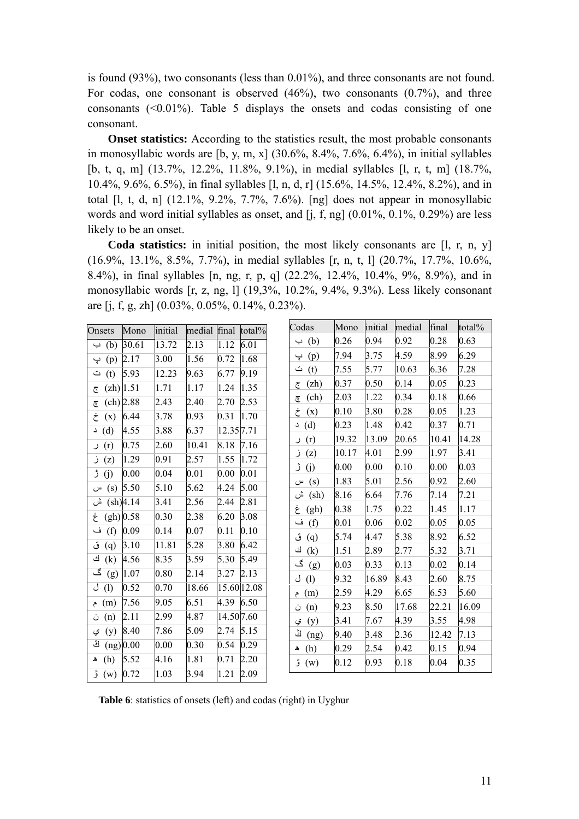is found (93%), two consonants (less than 0.01%), and three consonants are not found. For codas, one consonant is observed  $(46\%)$ , two consonants  $(0.7\%)$ , and three consonants  $(0.01\%)$ . Table 5 displays the onsets and codas consisting of one consonant.

**Onset statistics:** According to the statistics result, the most probable consonants in monosyllabic words are [b, y, m, x]  $(30.6\%, 8.4\%, 7.6\%, 6.4\%)$ , in initial syllables [b, t, q, m] (13.7%, 12.2%, 11.8%, 9.1%), in medial syllables [l, r, t, m] (18.7%, 10.4%, 9.6%, 6.5%), in final syllables [l, n, d, r] (15.6%, 14.5%, 12.4%, 8.2%), and in total [l, t, d, n] (12.1%, 9.2%, 7.7%, 7.6%). [ng] does not appear in monosyllabic words and word initial syllables as onset, and [j, f, ng] (0.01%, 0.1%, 0.29%) are less likely to be an onset.

**Coda statistics:** in initial position, the most likely consonants are [l, r, n, y] (16.9%, 13.1%, 8.5%, 7.7%), in medial syllables [r, n, t, l] (20.7%, 17.7%, 10.6%, 8.4%), in final syllables [n, ng, r, p, q] (22.2%, 12.4%, 10.4%, 9%, 8.9%), and in monosyllabic words [r, z, ng, l] (19,3%, 10.2%, 9.4%, 9.3%). Less likely consonant are [j, f, g, zh] (0.03%, 0.05%, 0.14%, 0.23%).

| Onsets                | Mono        | initial | medial final total% |            |             | Codas                  | Mono  | initial  | medial   | final | total% |
|-----------------------|-------------|---------|---------------------|------------|-------------|------------------------|-------|----------|----------|-------|--------|
| $\leftrightarrow$ (b) | 30.61       | 13.72   | 2.13                | 1.12       | 6.01        | $\leftrightarrow$ (b)  | 0.26  | 0.94     | 0.92     | 0.28  | 0.63   |
| پ                     | $(p)$ 2.17  | 3.00    | 1.56                | 0.72       | 1.68        | (p)<br>ڀ               | 7.94  | 3.75     | 4.59     | 8.99  | 6.29   |
| ث<br>(t)              | 5.93        | 12.23   | 9.63                | 6.77       | 9.19        | (t)<br>ت               | 7.55  | 5.77     | 10.63    | 6.36  | 7.28   |
| ج                     | $(zh)$ 1.51 | 1.71    | 1.17                | 1.24       | 1.35        | (zh)<br>ج              | 0.37  | 0.50     | 0.14     | 0.05  | 0.23   |
| چ                     | (ch) 2.88   | 2.43    | 2.40                | 2.70       | 2.53        | (ch)<br>$\overline{c}$ | 2.03  | 1.22     | 0.34     | 0.18  | 0.66   |
| خ<br>(x)              | 6.44        | 3.78    | 0.93                | 0.31       | 1.70        | (x)<br>خ               | 0.10  | 3.80     | 0.28     | 0.05  | 1.23   |
| $\Delta$ (d)          | 4.55        | 3.88    | 6.37                | 12.357.71  |             | $\Delta$ (d)           | 0.23  | 1.48     | 0.42     | 0.37  | 0.71   |
| (r) ر                 | 0.75        | 2.60    | 10.41               | 8.18       | 7.16        | (r)<br>ر               | 19.32 | 13.09    | 20.65    | 10.41 | 14.28  |
| $\mathfrak{z}$ (z)    | 1.29        | 0.91    | 2.57                | 1.55       | 1.72        | (z)<br>ز               | 10.17 | 4.01     | 2.99     | 1.97  | 3.41   |
| (j) ژ                 | 0.00        | 0.04    | 0.01                | 0.00       | 0.01        | ڑ<br>(j)               | 0.00  | $0.00\,$ | 0.10     | 0.00  | 0.03   |
| (s)                   | 5.50        | 5.10    | 5.62                | 4.24       | 5.00        | (s)<br>س               | 1.83  | 5.01     | 2.56     | 0.92  | 2.60   |
| س                     |             |         |                     |            | 2.81        | ش<br>$(\mathrm{sh})$   | 8.16  | 6.64     | 7.76     | 7.14  | 7.21   |
| ش                     | (sh)4.14    | 3.41    | 2.56                | 2.44       |             | غ<br>(gh)              | 0.38  | 1.75     | 0.22     | 1.45  | 1.17   |
| gh) 0.58              |             | 0.30    | 2.38                | 6.20       | 3.08        | ف<br>(f)               | 0.01  | 0.06     | $0.02\,$ | 0.05  | 0.05   |
| ف<br>(f)              | 0.09        | 0.14    | 0.07                | 0.11       | 0.10        | ق<br>(q)               | 5.74  | 4.47     | 5.38     | 8.92  | 6.52   |
| ق<br>(q)              | 3.10        | 11.81   | 5.28                | 3.80       | 6.42        | ك<br>(k)               | 1.51  | 2.89     | 2.77     | 5.32  | 3.71   |
| ك<br>(k)              | 4.56        | 8.35    | 3.59                | 5.30       | 5.49        | گ<br>(g)               | 0.03  | 0.33     | 0.13     | 0.02  | 0.14   |
| گ                     | $(g)$  1.07 | 0.80    | 2.14                | 3.27       | 2.13        | (1)<br>J               | 9.32  | 16.89    | 8.43     | 2.60  | 8.75   |
| J(1)                  | 0.52        | 0.70    | 18.66               |            | 15.60 12.08 | (m)<br>م               | 2.59  | 4.29     | 6.65     | 6.53  | 5.60   |
| (m) م                 | 7.56        | 9.05    | 6.51                | 4.39       | 6.50        | (n)<br>ن               | 9.23  | 8.50     | 17.68    | 22.21 | 16.09  |
| (n)<br>ن              | 2.11        | 2.99    | 4.87                | 14.50 7.60 |             | (y)<br>ي               | 3.41  | 7.67     | 4.39     | 3.55  | 4.98   |
| (y)<br>ي              | 8.40        | 7.86    | 5.09                | 2.74       | 5.15        | ڭ<br>(ng)              | 9.40  | 3.48     | 2.36     | 12.42 | 7.13   |
| اڭ                    | $(ng)$ 0.00 | 0.00    | 0.30                | 0.54       | 0.29        | (h)<br>۵               | 0.29  | 2.54     | 0.42     | 0.15  | 0.94   |
| (h)                   | 5.52        | 4.16    | 1.81                | 0.71       | 2.20        | ۇ<br>(w)               | 0.12  | 0.93     | 0.18     | 0.04  | 0.35   |
| ۇ<br>$(w)$ 0.72       |             | 1.03    | 3.94                | 1.21       | 2.09        |                        |       |          |          |       |        |

**Table 6**: statistics of onsets (left) and codas (right) in Uyghur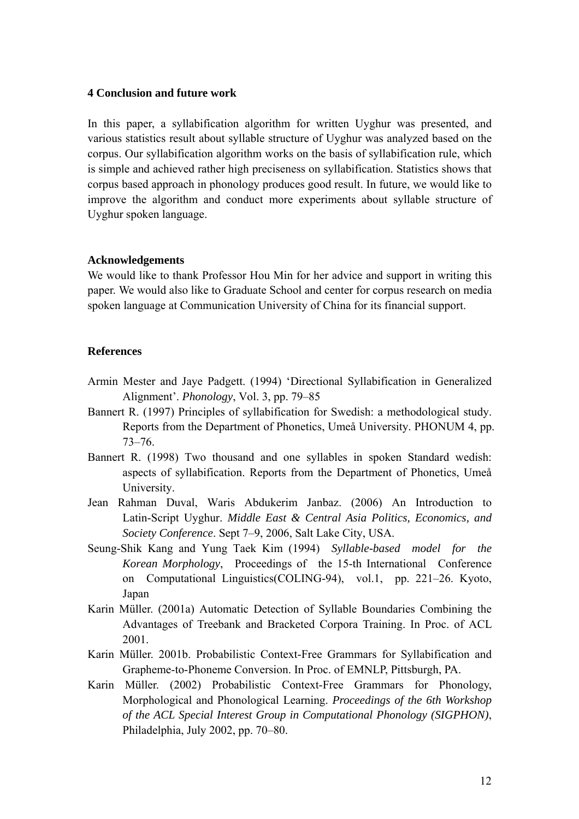#### **4 Conclusion and future work**

In this paper, a syllabification algorithm for written Uyghur was presented, and various statistics result about syllable structure of Uyghur was analyzed based on the corpus. Our syllabification algorithm works on the basis of syllabification rule, which is simple and achieved rather high preciseness on syllabification. Statistics shows that corpus based approach in phonology produces good result. In future, we would like to improve the algorithm and conduct more experiments about syllable structure of Uyghur spoken language.

#### **Acknowledgements**

We would like to thank Professor Hou Min for her advice and support in writing this paper. We would also like to Graduate School and center for corpus research on media spoken language at Communication University of China for its financial support.

#### **References**

- Armin Mester and Jaye Padgett. (1994) 'Directional Syllabification in Generalized Alignment'. *Phonology*, Vol. 3, pp. 79–85
- Bannert R. (1997) Principles of syllabification for Swedish: a methodological study. Reports from the Department of Phonetics, Umeå University. PHONUM 4, pp. 73–76.
- Bannert R. (1998) Two thousand and one syllables in spoken Standard wedish: aspects of syllabification. Reports from the Department of Phonetics, Umeå University.
- Jean Rahman Duval, Waris Abdukerim Janbaz. (2006) An Introduction to Latin-Script Uyghur. *Middle East & Central Asia Politics, Economics, and Society Conference*. Sept 7–9, 2006, Salt Lake City, USA.
- [Seung-Shik Kang](http://portal.acm.org/results.cfm?query=author%3ASeung%2DShik%20Kang&querydisp=author%3ASeung%2DShik%20Kang&coll=GUIDE&dl=GUIDE&CFID=26190982&CFTOKEN=75426717) and [Yung Taek Kim](http://portal.acm.org/results.cfm?query=author%3AYung%20Taek%20Kim&querydisp=author%3AYung%20Taek%20Kim&coll=GUIDE&dl=GUIDE&CFID=26190982&CFTOKEN=75426717) (1994) *Syllable-based model for the Korean Morphology*, Proceedings of the 15-th International Conference on Computational Linguistics(COLING-94), vol.1, pp. 221–26. Kyoto, Japan
- Karin Müller. (2001a) Automatic Detection of Syllable Boundaries Combining the Advantages of Treebank and Bracketed Corpora Training. In Proc. of ACL 2001.
- Karin Müller. 2001b. Probabilistic Context-Free Grammars for Syllabification and Grapheme-to-Phoneme Conversion. In Proc. of EMNLP, Pittsburgh, PA.
- Karin Müller. (2002) Probabilistic Context-Free Grammars for Phonology, Morphological and Phonological Learning. *Proceedings of the 6th Workshop of the ACL Special Interest Group in Computational Phonology (SIGPHON)*, Philadelphia, July 2002, pp. 70–80.